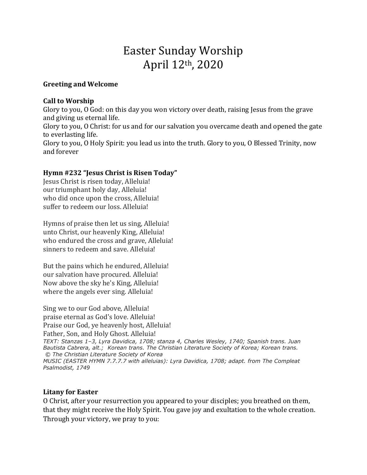# Easter Sunday Worship April 12th, 2020

## **Greeting and Welcome**

## **Call to Worship**

Glory to you, O God: on this day you won victory over death, raising Jesus from the grave and giving us eternal life. Glory to you, O Christ: for us and for our salvation you overcame death and opened the gate to everlasting life. Glory to you, O Holy Spirit: you lead us into the truth. Glory to you, O Blessed Trinity, now and forever

## **Hymn #232 "Jesus Christ is Risen Today"**

Jesus Christ is risen today, Alleluia! our triumphant holy day, Alleluia! who did once upon the cross, Alleluia! suffer to redeem our loss. Alleluia!

Hymns of praise then let us sing, Alleluia! unto Christ, our heavenly King, Alleluia! who endured the cross and grave, Alleluia! sinners to redeem and save. Alleluia!

But the pains which he endured, Alleluia! our salvation have procured. Alleluia! Now above the sky he's King, Alleluia! where the angels ever sing. Alleluia!

Sing we to our God above, Alleluia! praise eternal as God's love. Alleluia! Praise our God, ye heavenly host, Alleluia! Father, Son, and Holy Ghost. Alleluia! *TEXT: Stanzas 1–3, Lyra Davidica, 1708; stanza 4, Charles Wesley, 1740; Spanish trans. Juan Bautista Cabrera, alt.; Korean trans. The Christian Literature Society of Korea; Korean trans. © The Christian Literature Society of Korea MUSIC (EASTER HYMN 7.7.7.7 with alleluias): Lyra Davidica, 1708; adapt. from The Compleat Psalmodist, 1749*

## **Litany for Easter**

O Christ, after your resurrection you appeared to your disciples; you breathed on them, that they might receive the Holy Spirit. You gave joy and exultation to the whole creation. Through your victory, we pray to you: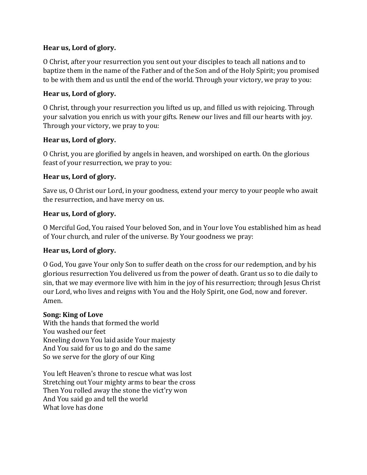# **Hear us, Lord of glory.**

O Christ, after your resurrection you sent out your disciples to teach all nations and to baptize them in the name of the Father and of the Son and of the Holy Spirit; you promised to be with them and us until the end of the world. Through your victory, we pray to you:

# **Hear us, Lord of glory.**

O Christ, through your resurrection you lifted us up, and filled us with rejoicing. Through your salvation you enrich us with your gifts. Renew our lives and fill our hearts with joy. Through your victory, we pray to you:

# **Hear us, Lord of glory.**

O Christ, you are glorified by angels in heaven, and worshiped on earth. On the glorious feast of your resurrection, we pray to you:

# **Hear us, Lord of glory.**

Save us, O Christ our Lord, in your goodness, extend your mercy to your people who await the resurrection, and have mercy on us.

# **Hear us, Lord of glory.**

O Merciful God, You raised Your beloved Son, and in Your love You established him as head of Your church, and ruler of the universe. By Your goodness we pray:

# **Hear us, Lord of glory.**

O God, You gave Your only Son to suffer death on the cross for our redemption, and by his glorious resurrection You delivered us from the power of death. Grant us so to die daily to sin, that we may evermore live with him in the joy of his resurrection; through Jesus Christ our Lord, who lives and reigns with You and the Holy Spirit, one God, now and forever. Amen.

# **Song: King of Love**

With the hands that formed the world You washed our feet Kneeling down You laid aside Your majesty And You said for us to go and do the same So we serve for the glory of our King

You left Heaven's throne to rescue what was lost Stretching out Your mighty arms to bear the cross Then You rolled away the stone the vict'ry won And You said go and tell the world What love has done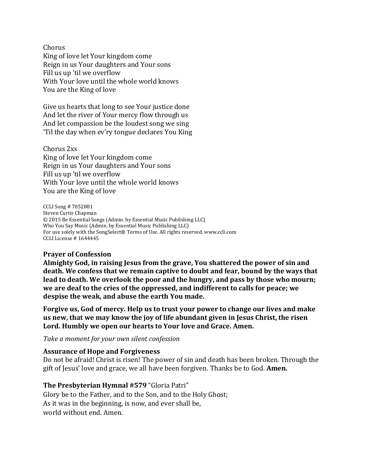Chorus King of love let Your kingdom come Reign in us Your daughters and Your sons Fill us up 'til we overflow With Your love until the whole world knows You are the King of love

Give us hearts that long to see Your justice done And let the river of Your mercy flow through us And let compassion be the loudest song we sing 'Til the day when ev'ry tongue declares You King

Chorus 2xs King of love let Your kingdom come Reign in us Your daughters and Your sons Fill us up 'til we overflow With Your love until the whole world knows You are the King of love

CCLI Song # 7052881 Steven Curtis Chapman © 2015 Be Essential Songs (Admin. by Essential Music Publishing LLC) Who You Say Music (Admin. by Essential Music Publishing LLC) For use solely with the SongSelect® Terms of Use. All rights reserved. www.ccli.com CCLI License # 1644445

## **Prayer of Confession**

**Almighty God, in raising Jesus from the grave, You shattered the power of sin and death. We confess that we remain captive to doubt and fear, bound by the ways that lead to death. We overlook the poor and the hungry, and pass by those who mourn; we are deaf to the cries of the oppressed, and indifferent to calls for peace; we despise the weak, and abuse the earth You made.**

**Forgive us, God of mercy. Help us to trust your power to change our lives and make us new, that we may know the joy of life abundant given in Jesus Christ, the risen Lord. Humbly we open our hearts to Your love and Grace. Amen.**

*Take a moment for your own silent confession*

## **Assurance of Hope and Forgiveness**

Do not be afraid! Christ is risen! The power of sin and death has been broken. Through the gift of Jesus' love and grace, we all have been forgiven. Thanks be to God. **Amen.**

## **The Presbyterian Hymnal #579** "Gloria Patri"

Glory be to the Father, and to the Son, and to the Holy Ghost; As it was in the beginning, is now, and ever shall be, world without end. Amen.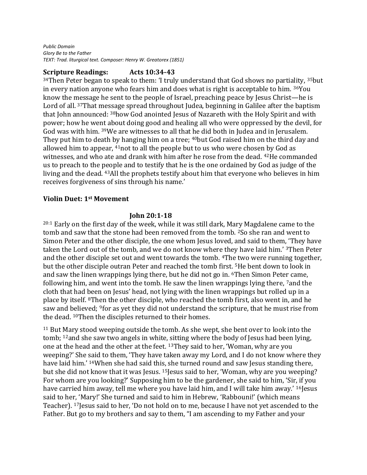*Public Domain Glory Be to the Father TEXT: Trad. liturgical text. Composer: Henry W. Greatorex (1851)*

## **Scripture Readings: Acts 10:34-43**

 $34$ Then Peter began to speak to them: 'I truly understand that God shows no partiality,  $35$ but in every nation anyone who fears him and does what is right is acceptable to him. <sup>36</sup>You know the message he sent to the people of Israel, preaching peace by Jesus Christ—he is Lord of all. <sup>37</sup>That message spread throughout Judea, beginning in Galilee after the baptism that John announced: <sup>38</sup>how God anointed Jesus of Nazareth with the Holy Spirit and with power; how he went about doing good and healing all who were oppressed by the devil, for God was with him. <sup>39</sup>We are witnesses to all that he did both in Judea and in Jerusalem. They put him to death by hanging him on a tree; <sup>40</sup>but God raised him on the third day and allowed him to appear, <sup>41</sup>not to all the people but to us who were chosen by God as witnesses, and who ate and drank with him after he rose from the dead. <sup>42</sup>He commanded us to preach to the people and to testify that he is the one ordained by God as judge of the living and the dead. <sup>43</sup>All the prophets testify about him that everyone who believes in him receives forgiveness of sins through his name.'

### **Violin Duet: 1st Movement**

### **John 20:1-18**

<sup>20:1</sup> Early on the first day of the week, while it was still dark, Mary Magdalene came to the tomb and saw that the stone had been removed from the tomb. <sup>2</sup>So she ran and went to Simon Peter and the other disciple, the one whom Jesus loved, and said to them, 'They have taken the Lord out of the tomb, and we do not know where they have laid him.' <sup>3</sup>Then Peter and the other disciple set out and went towards the tomb. <sup>4</sup>The two were running together, but the other disciple outran Peter and reached the tomb first. <sup>5</sup>He bent down to look in and saw the linen wrappings lying there, but he did not go in. <sup>6</sup>Then Simon Peter came, following him, and went into the tomb. He saw the linen wrappings lying there, <sup>7</sup>and the cloth that had been on Jesus' head, not lying with the linen wrappings but rolled up in a place by itself. <sup>8</sup>Then the other disciple, who reached the tomb first, also went in, and he saw and believed; <sup>9</sup>for as yet they did not understand the scripture, that he must rise from the dead. <sup>10</sup>Then the disciples returned to their homes.

<sup>11</sup> But Mary stood weeping outside the tomb. As she wept, she bent over to look into the tomb; <sup>12</sup>and she saw two angels in white, sitting where the body of Jesus had been lying, one at the head and the other at the feet. <sup>13</sup>They said to her, 'Woman, why are you weeping?' She said to them, 'They have taken away my Lord, and I do not know where they have laid him.' <sup>14</sup>When she had said this, she turned round and saw Jesus standing there, but she did not know that it was Jesus. <sup>15</sup>Jesus said to her, 'Woman, why are you weeping? For whom are you looking?' Supposing him to be the gardener, she said to him, 'Sir, if you have carried him away, tell me where you have laid him, and I will take him away.' <sup>16</sup>Jesus said to her, 'Mary!' She turned and said to him in Hebrew, 'Rabbouni!' (which means Teacher). <sup>17</sup>Jesus said to her, 'Do not hold on to me, because I have not yet ascended to the Father. But go to my brothers and say to them, "I am ascending to my Father and your